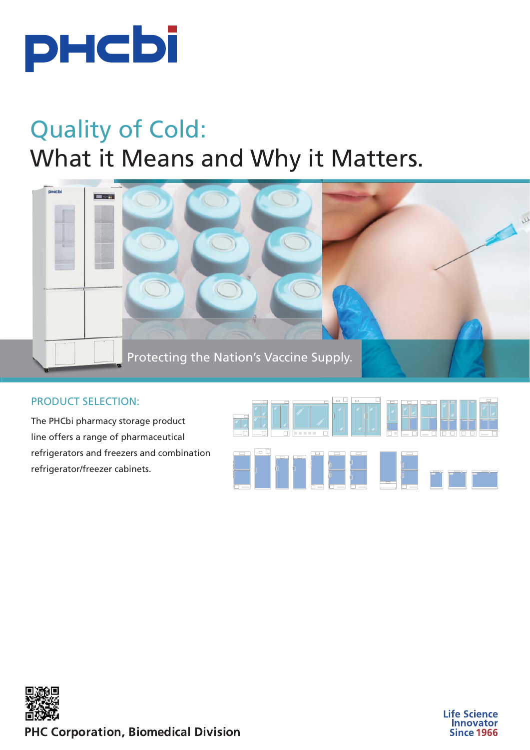

# Quality of Cold: What it Means and Why it Matters.



#### PRODUCT SELECTION:

The PHCbi pharmacy storage product line offers a range of pharmaceutical refrigerators and freezers and combination refrigerator/freezer cabinets.







**PHC Corporation, Biomedical Division**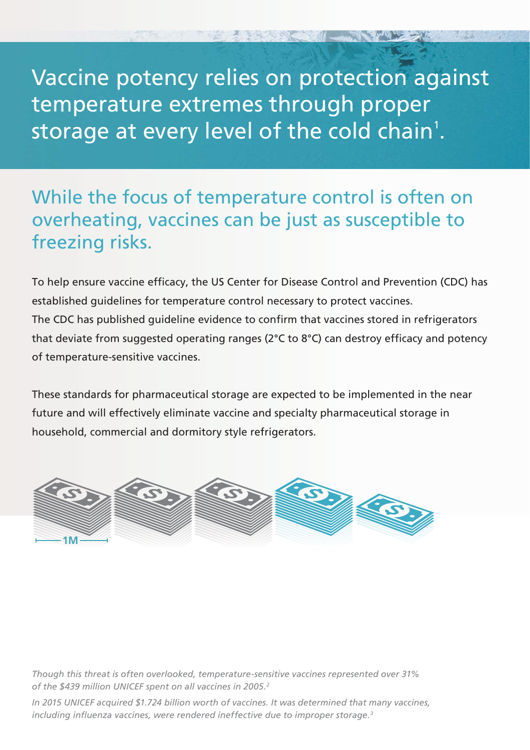Vaccine potency relies on protection against temperature extremes through proper storage at every level of the cold chain<sup>1</sup>.

#### While the focus of temperature control is often on overheating, vaccines can be just as susceptible to freezing risks.

To help ensure vaccine efficacy, the US Center for Disease Control and Prevention (CDC) has established guidelines for temperature control necessary to protect vaccines. The CDC has published guideline evidence to confirm that vaccines stored in refrigerators that deviate from suggested operating ranges (2°C to 8°C) can destroy efficacy and potency of temperature-sensitive vaccines.

These standards for pharmaceutical storage are expected to be implemented in the near future and will effectively eliminate vaccine and specialty pharmaceutical storage in household, commercial and dormitory style refrigerators.



*Though this threat is often overlooked, temperature-sensitive vaccines represented over 31% of the \$439 million UNICEF spent on all vaccines in 2005.2*

*In 2015 UNICEF acquired \$1.724 billion worth of vaccines. It was determined that many vaccines, including influenza vaccines, were rendered ineffective due to improper storage.3*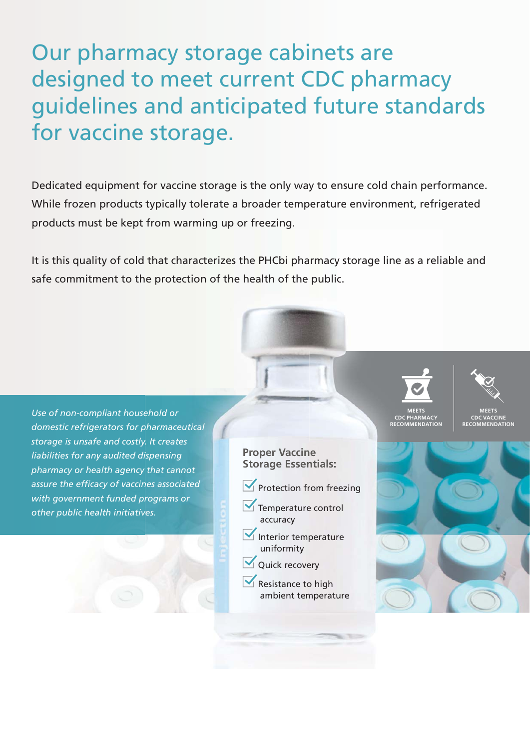Our pharmacy storage cabinets are designed to meet current CDC pharmacy guidelines and anticipated future standards for vaccine storage.

Dedicated equipment for vaccine storage is the only way to ensure cold chain performance. While frozen products typically tolerate a broader temperature environment, refrigerated products must be kept from warming up or freezing.

It is this quality of cold that characterizes the PHCbi pharmacy storage line as a reliable and safe commitment to the protection of the health of the public.

**Proper Vaccine Storage Essentials:**  $\blacktriangleright$  Protection from freezing Temperature control accuracy  $\blacktriangleright$  Interior temperature uniformity Quick recovery  $\blacktriangleright$  Resistance to high ambient temperature **MEETS CDC PHARMACY RECOMMENDATION MEETS CDC VACCINE RECOMMENDATION** *Use of non-compliant household or domestic refrigerators for pharmaceutical storage is unsafe and costly. It creates liabilities for any audited dispensing pharmacy or health agency that cannot assure the efficacy of vaccines associated with government funded programs or other public health initiatives.*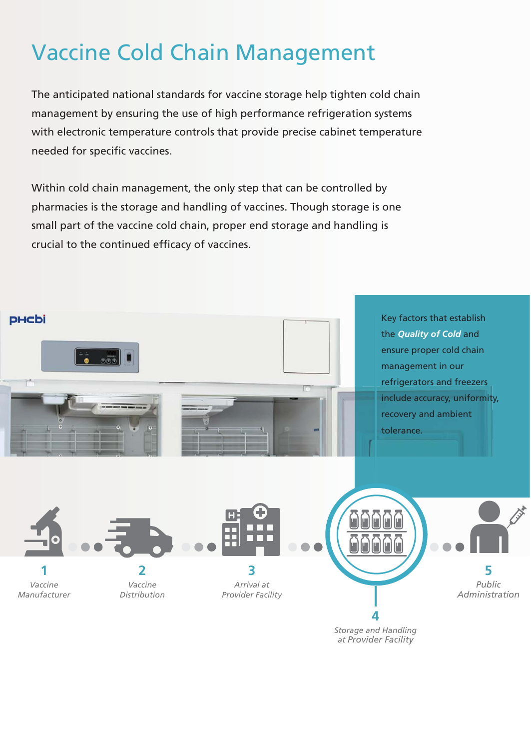### Vaccine Cold Chain Management

The anticipated national standards for vaccine storage help tighten cold chain management by ensuring the use of high performance refrigeration systems with electronic temperature controls that provide precise cabinet temperature needed for specific vaccines.

Within cold chain management, the only step that can be controlled by pharmacies is the storage and handling of vaccines. Though storage is one small part of the vaccine cold chain, proper end storage and handling is crucial to the continued efficacy of vaccines.

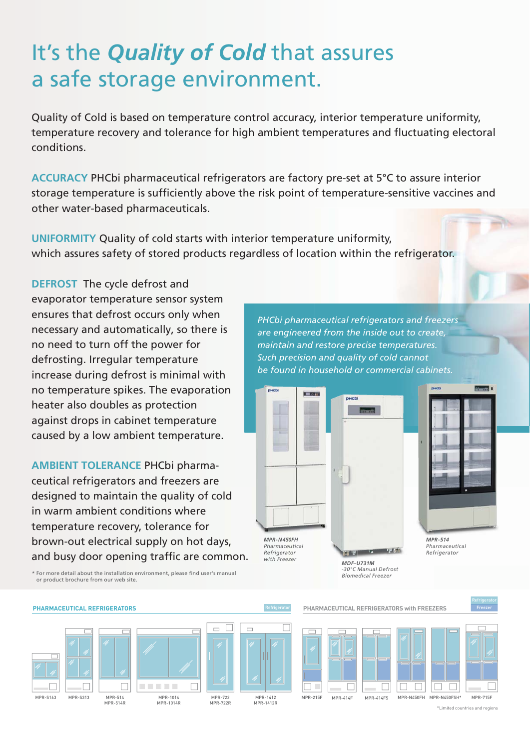## It's the *Quality of Cold* that assures a safe storage environment.

Quality of Cold is based on temperature control accuracy, interior temperature uniformity, temperature recovery and tolerance for high ambient temperatures and fluctuating electoral conditions.

**ACCURACY** PHCbi pharmaceutical refrigerators are factory pre-set at 5°C to assure interior storage temperature is sufficiently above the risk point of temperature-sensitive vaccines and other water-based pharmaceuticals.

**UNIFORMITY** Quality of cold starts with interior temperature uniformity, which assures safety of stored products regardless of location within the refrigerator.

**DEFROST** The cycle defrost and evaporator temperature sensor system ensures that defrost occurs only when necessary and automatically, so there is no need to turn off the power for defrosting. Irregular temperature increase during defrost is minimal with no temperature spikes. The evaporation heater also doubles as protection against drops in cabinet temperature caused by a low ambient temperature.

**AMBIENT TOLERANCE** PHCbi pharmaceutical refrigerators and freezers are designed to maintain the quality of cold in warm ambient conditions where temperature recovery, tolerance for brown-out electrical supply on hot days, and busy door opening traffic are common. *PHCbi pharmaceutical refrigerators and freezers are engineered from the inside out to create, maintain and restore precise temperatures. Such precision and quality of cold cannot be found in household or commercial cabinets.* 

> *MDF-U731M -30°C Manual Defrost Biomedical Freezer*

**To find** 





*[Pharmaceutical](https://www.phchd.com/global/biomedical/preservation/pharmaceutical-refrigerators/sliding-door-refrigerators/mpr-514)  Refrigerator* 

\* For more detail about the installation environment, please find user's manual or product brochure from our web site.